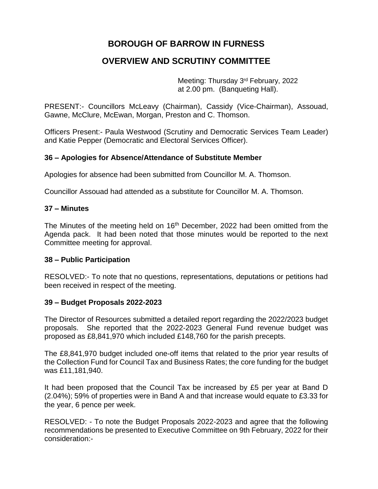# **BOROUGH OF BARROW IN FURNESS**

# **OVERVIEW AND SCRUTINY COMMITTEE**

Meeting: Thursday 3rd February, 2022 at 2.00 pm. (Banqueting Hall).

PRESENT:- Councillors McLeavy (Chairman), Cassidy (Vice-Chairman), Assouad, Gawne, McClure, McEwan, Morgan, Preston and C. Thomson.

Officers Present:- Paula Westwood (Scrutiny and Democratic Services Team Leader) and Katie Pepper (Democratic and Electoral Services Officer).

# **36 – Apologies for Absence/Attendance of Substitute Member**

Apologies for absence had been submitted from Councillor M. A. Thomson.

Councillor Assouad had attended as a substitute for Councillor M. A. Thomson.

#### **37 – Minutes**

The Minutes of the meeting held on 16<sup>th</sup> December, 2022 had been omitted from the Agenda pack. It had been noted that those minutes would be reported to the next Committee meeting for approval.

#### **38 – Public Participation**

RESOLVED:- To note that no questions, representations, deputations or petitions had been received in respect of the meeting.

#### **39 – Budget Proposals 2022-2023**

The Director of Resources submitted a detailed report regarding the 2022/2023 budget proposals. She reported that the 2022-2023 General Fund revenue budget was proposed as £8,841,970 which included £148,760 for the parish precepts.

The £8,841,970 budget included one-off items that related to the prior year results of the Collection Fund for Council Tax and Business Rates; the core funding for the budget was £11,181,940.

It had been proposed that the Council Tax be increased by £5 per year at Band D (2.04%); 59% of properties were in Band A and that increase would equate to £3.33 for the year, 6 pence per week.

RESOLVED: - To note the Budget Proposals 2022-2023 and agree that the following recommendations be presented to Executive Committee on 9th February, 2022 for their consideration:-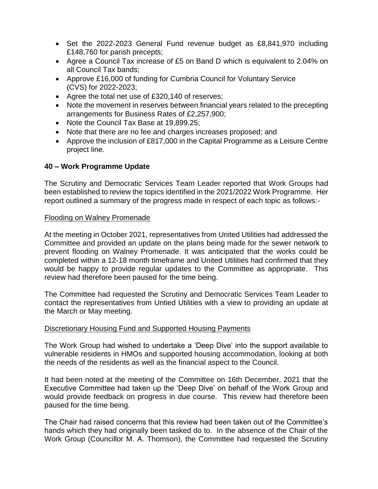- Set the 2022-2023 General Fund revenue budget as £8,841,970 including £148,760 for parish precepts;
- Agree a Council Tax increase of £5 on Band D which is equivalent to 2.04% on all Council Tax bands;
- Approve £16,000 of funding for Cumbria Council for Voluntary Service (CVS) for 2022-2023;
- Agree the total net use of £320,140 of reserves;
- Note the movement in reserves between financial years related to the precepting arrangements for Business Rates of £2,257,900;
- Note the Council Tax Base at 19,899.25;
- Note that there are no fee and charges increases proposed; and
- Approve the inclusion of £817,000 in the Capital Programme as a Leisure Centre project line.

# **40 – Work Programme Update**

The Scrutiny and Democratic Services Team Leader reported that Work Groups had been established to review the topics identified in the 2021/2022 Work Programme. Her report outlined a summary of the progress made in respect of each topic as follows:-

#### Flooding on Walney Promenade

At the meeting in October 2021, representatives from United Utilities had addressed the Committee and provided an update on the plans being made for the sewer network to prevent flooding on Walney Promenade. It was anticipated that the works could be completed within a 12-18 month timeframe and United Utilities had confirmed that they would be happy to provide regular updates to the Committee as appropriate. This review had therefore been paused for the time being.

The Committee had requested the Scrutiny and Democratic Services Team Leader to contact the representatives from Untied Utilities with a view to providing an update at the March or May meeting.

#### Discretionary Housing Fund and Supported Housing Payments

The Work Group had wished to undertake a 'Deep Dive' into the support available to vulnerable residents in HMOs and supported housing accommodation, looking at both the needs of the residents as well as the financial aspect to the Council.

It had been noted at the meeting of the Committee on 16th December, 2021 that the Executive Committee had taken up the 'Deep Dive' on behalf of the Work Group and would provide feedback on progress in due course. This review had therefore been paused for the time being.

The Chair had raised concerns that this review had been taken out of the Committee's hands which they had originally been tasked do to. In the absence of the Chair of the Work Group (Councillor M. A. Thomson), the Committee had requested the Scrutiny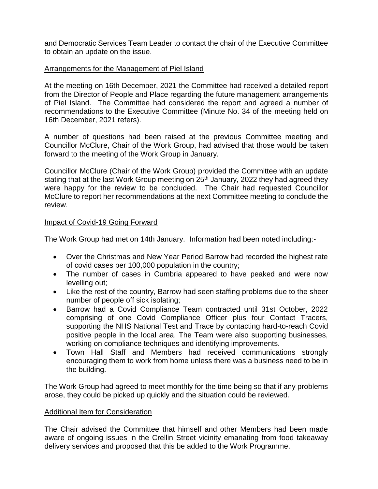and Democratic Services Team Leader to contact the chair of the Executive Committee to obtain an update on the issue.

# Arrangements for the Management of Piel Island

At the meeting on 16th December, 2021 the Committee had received a detailed report from the Director of People and Place regarding the future management arrangements of Piel Island. The Committee had considered the report and agreed a number of recommendations to the Executive Committee (Minute No. 34 of the meeting held on 16th December, 2021 refers).

A number of questions had been raised at the previous Committee meeting and Councillor McClure, Chair of the Work Group, had advised that those would be taken forward to the meeting of the Work Group in January.

Councillor McClure (Chair of the Work Group) provided the Committee with an update stating that at the last Work Group meeting on  $25<sup>th</sup>$  January, 2022 they had agreed they were happy for the review to be concluded. The Chair had requested Councillor McClure to report her recommendations at the next Committee meeting to conclude the review.

#### Impact of Covid-19 Going Forward

The Work Group had met on 14th January. Information had been noted including:-

- Over the Christmas and New Year Period Barrow had recorded the highest rate of covid cases per 100,000 population in the country;
- The number of cases in Cumbria appeared to have peaked and were now levelling out;
- Like the rest of the country, Barrow had seen staffing problems due to the sheer number of people off sick isolating;
- Barrow had a Covid Compliance Team contracted until 31st October, 2022 comprising of one Covid Compliance Officer plus four Contact Tracers, supporting the NHS National Test and Trace by contacting hard-to-reach Covid positive people in the local area. The Team were also supporting businesses, working on compliance techniques and identifying improvements.
- Town Hall Staff and Members had received communications strongly encouraging them to work from home unless there was a business need to be in the building.

The Work Group had agreed to meet monthly for the time being so that if any problems arose, they could be picked up quickly and the situation could be reviewed.

#### Additional Item for Consideration

The Chair advised the Committee that himself and other Members had been made aware of ongoing issues in the Crellin Street vicinity emanating from food takeaway delivery services and proposed that this be added to the Work Programme.